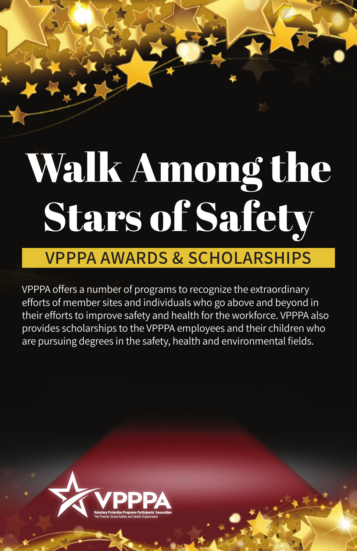# Walk Among the Stars of Safety

### **VPPPA AWARDS & SCHOLARSHIPS**

VPPPA offers a number of programs to recognize the extraordinary efforts of member sites and individuals who go above and beyond in their efforts to improve safety and health for the workforce. VPPPA also provides scholarships to the VPPPA employees and their children who are pursuing degrees in the safety, health and environmental fields.

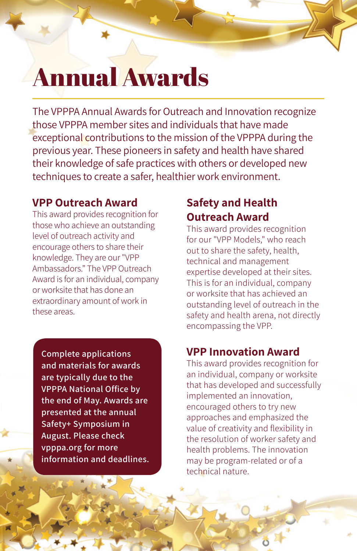### Annual Awards

The VPPPA Annual Awards for Outreach and Innovation recognize those VPPPA member sites and individuals that have made exceptional contributions to the mission of the VPPPA during the previous year. These pioneers in safety and health have shared their knowledge of safe practices with others or developed new techniques to create a safer, healthier work environment.

#### **VPP Outreach Award**

This award provides recognition for those who achieve an outstanding level of outreach activity and encourage others to share their knowledge. They are our "VPP Ambassadors." The VPP Outreach Award is for an individual, company or worksite that has done an extraordinary amount of work in these areas.

**Complete applications and materials for awards are typically due to the VPPPA National Office by the end of May. Awards are presented at the annual Safety+ Symposium in August. Please check vpppa.org for more information and deadlines.**

#### **Safety and Health Outreach Award**

This award provides recognition for our "VPP Models," who reach out to share the safety, health, technical and management expertise developed at their sites. This is for an individual, company or worksite that has achieved an outstanding level of outreach in the safety and health arena, not directly encompassing the VPP.

#### **VPP Innovation Award**

This award provides recognition for an individual, company or worksite that has developed and successfully implemented an innovation, encouraged others to try new approaches and emphasized the value of creativity and flexibility in the resolution of worker safety and health problems. The innovation may be program-related or of a technical nature.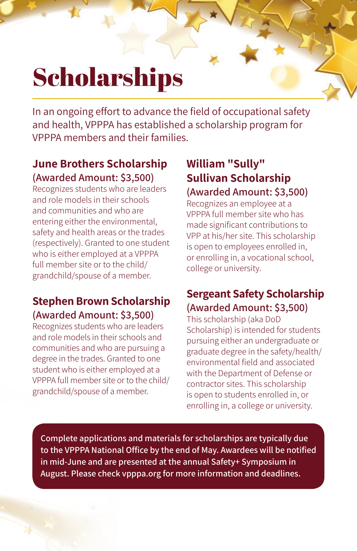## **Scholarships**

In an ongoing effort to advance the field of occupational safety and health, VPPPA has established a scholarship program for VPPPA members and their families.

#### **June Brothers Scholarship (Awarded Amount: \$3,500)**

Recognizes students who are leaders and role models in their schools and communities and who are entering either the environmental, safety and health areas or the trades (respectively). Granted to one student who is either employed at a VPPPA full member site or to the child/ grandchild/spouse of a member.

#### **Stephen Brown Scholarship (Awarded Amount: \$3,500)**

Recognizes students who are leaders and role models in their schools and communities and who are pursuing a degree in the trades. Granted to one student who is either employed at a VPPPA full member site or to the child/ grandchild/spouse of a member.

#### **William "Sully" Sullivan Scholarship (Awarded Amount: \$3,500)**

Recognizes an employee at a VPPPA full member site who has made significant contributions to VPP at his/her site. This scholarship is open to employees enrolled in, or enrolling in, a vocational school, college or university.

#### **Sergeant Safety Scholarship (Awarded Amount: \$3,500)**

This scholarship (aka DoD Scholarship) is intended for students pursuing either an undergraduate or graduate degree in the safety/health/ environmental field and associated with the Department of Defense or contractor sites. This scholarship is open to students enrolled in, or enrolling in, a college or university.

**Complete applications and materials for scholarships are typically due to the VPPPA National Office by the end of May. Awardees will be notified in mid-June and are presented at the annual Safety+ Symposium in August. Please check vpppa.org for more information and deadlines.**